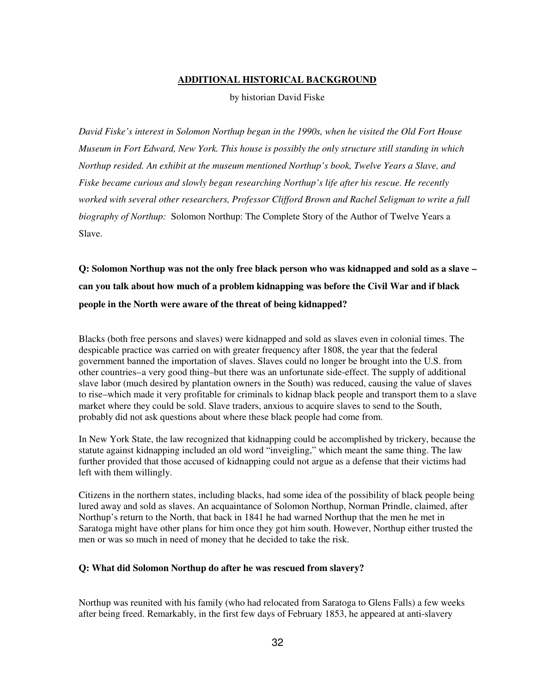# **ADDITIONAL HISTORICAL BACKGROUND**

by historian David Fiske

*David Fiske's interest in Solomon Northup began in the 1990s, when he visited the Old Fort House Museum in Fort Edward, New York. This house is possibly the only structure still standing in which Northup resided. An exhibit at the museum mentioned Northup's book, Twelve Years a Slave, and Fiske became curious and slowly began researching Northup's life after his rescue. He recently worked with several other researchers, Professor Clifford Brown and Rachel Seligman to write a full biography of Northup:* Solomon Northup: The Complete Story of the Author of Twelve Years a Slave.

**Q: Solomon Northup was not the only free black person who was kidnapped and sold as a slave – can you talk about how much of a problem kidnapping was before the Civil War and if black people in the North were aware of the threat of being kidnapped?**

Blacks (both free persons and slaves) were kidnapped and sold as slaves even in colonial times. The despicable practice was carried on with greater frequency after 1808, the year that the federal government banned the importation of slaves. Slaves could no longer be brought into the U.S. from other countries–a very good thing–but there was an unfortunate side-effect. The supply of additional slave labor (much desired by plantation owners in the South) was reduced, causing the value of slaves to rise–which made it very profitable for criminals to kidnap black people and transport them to a slave market where they could be sold. Slave traders, anxious to acquire slaves to send to the South, probably did not ask questions about where these black people had come from.

In New York State, the law recognized that kidnapping could be accomplished by trickery, because the statute against kidnapping included an old word "inveigling," which meant the same thing. The law further provided that those accused of kidnapping could not argue as a defense that their victims had left with them willingly.

Citizens in the northern states, including blacks, had some idea of the possibility of black people being lured away and sold as slaves. An acquaintance of Solomon Northup, Norman Prindle, claimed, after Northup's return to the North, that back in 1841 he had warned Northup that the men he met in Saratoga might have other plans for him once they got him south. However, Northup either trusted the men or was so much in need of money that he decided to take the risk.

# **Q: What did Solomon Northup do after he was rescued from slavery?**

Northup was reunited with his family (who had relocated from Saratoga to Glens Falls) a few weeks after being freed. Remarkably, in the first few days of February 1853, he appeared at anti-slavery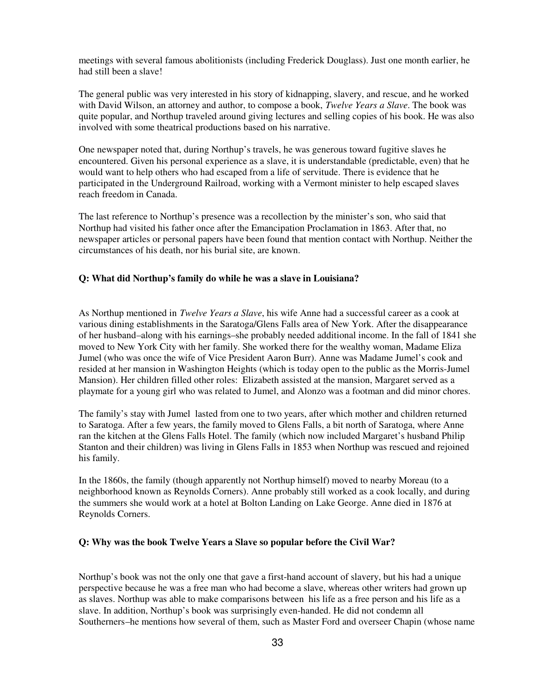meetings with several famous abolitionists (including Frederick Douglass). Just one month earlier, he had still been a slave!

The general public was very interested in his story of kidnapping, slavery, and rescue, and he worked with David Wilson, an attorney and author, to compose a book, *Twelve Years a Slave*. The book was quite popular, and Northup traveled around giving lectures and selling copies of his book. He was also involved with some theatrical productions based on his narrative.

One newspaper noted that, during Northup's travels, he was generous toward fugitive slaves he encountered. Given his personal experience as a slave, it is understandable (predictable, even) that he would want to help others who had escaped from a life of servitude. There is evidence that he participated in the Underground Railroad, working with a Vermont minister to help escaped slaves reach freedom in Canada.

The last reference to Northup's presence was a recollection by the minister's son, who said that Northup had visited his father once after the Emancipation Proclamation in 1863. After that, no newspaper articles or personal papers have been found that mention contact with Northup. Neither the circumstances of his death, nor his burial site, are known.

#### **Q: What did Northup's family do while he was a slave in Louisiana?**

As Northup mentioned in *Twelve Years a Slave*, his wife Anne had a successful career as a cook at various dining establishments in the Saratoga/Glens Falls area of New York. After the disappearance of her husband–along with his earnings–she probably needed additional income. In the fall of 1841 she moved to New York City with her family. She worked there for the wealthy woman, Madame Eliza Jumel (who was once the wife of Vice President Aaron Burr). Anne was Madame Jumel's cook and resided at her mansion in Washington Heights (which is today open to the public as the Morris-Jumel Mansion). Her children filled other roles: Elizabeth assisted at the mansion, Margaret served as a playmate for a young girl who was related to Jumel, and Alonzo was a footman and did minor chores.

The family's stay with Jumel lasted from one to two years, after which mother and children returned to Saratoga. After a few years, the family moved to Glens Falls, a bit north of Saratoga, where Anne ran the kitchen at the Glens Falls Hotel. The family (which now included Margaret's husband Philip Stanton and their children) was living in Glens Falls in 1853 when Northup was rescued and rejoined his family.

In the 1860s, the family (though apparently not Northup himself) moved to nearby Moreau (to a neighborhood known as Reynolds Corners). Anne probably still worked as a cook locally, and during the summers she would work at a hotel at Bolton Landing on Lake George. Anne died in 1876 at Reynolds Corners.

#### **Q: Why was the book Twelve Years a Slave so popular before the Civil War?**

Northup's book was not the only one that gave a first-hand account of slavery, but his had a unique perspective because he was a free man who had become a slave, whereas other writers had grown up as slaves. Northup was able to make comparisons between his life as a free person and his life as a slave. In addition, Northup's book was surprisingly even-handed. He did not condemn all Southerners–he mentions how several of them, such as Master Ford and overseer Chapin (whose name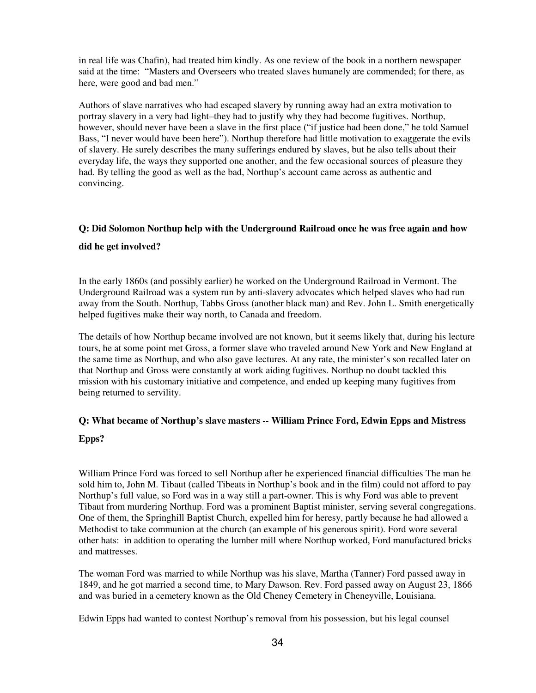in real life was Chafin), had treated him kindly. As one review of the book in a northern newspaper said at the time: "Masters and Overseers who treated slaves humanely are commended; for there, as here, were good and bad men."

Authors of slave narratives who had escaped slavery by running away had an extra motivation to portray slavery in a very bad light–they had to justify why they had become fugitives. Northup, however, should never have been a slave in the first place ("if justice had been done," he told Samuel Bass, "I never would have been here"). Northup therefore had little motivation to exaggerate the evils of slavery. He surely describes the many sufferings endured by slaves, but he also tells about their everyday life, the ways they supported one another, and the few occasional sources of pleasure they had. By telling the good as well as the bad, Northup's account came across as authentic and convincing.

# **Q: Did Solomon Northup help with the Underground Railroad once he was free again and how**

# **did he get involved?**

In the early 1860s (and possibly earlier) he worked on the Underground Railroad in Vermont. The Underground Railroad was a system run by anti-slavery advocates which helped slaves who had run away from the South. Northup, Tabbs Gross (another black man) and Rev. John L. Smith energetically helped fugitives make their way north, to Canada and freedom.

The details of how Northup became involved are not known, but it seems likely that, during his lecture tours, he at some point met Gross, a former slave who traveled around New York and New England at the same time as Northup, and who also gave lectures. At any rate, the minister's son recalled later on that Northup and Gross were constantly at work aiding fugitives. Northup no doubt tackled this mission with his customary initiative and competence, and ended up keeping many fugitives from being returned to servility.

# **Q: What became of Northup's slave masters -- William Prince Ford, Edwin Epps and Mistress**

# **Epps?**

William Prince Ford was forced to sell Northup after he experienced financial difficulties The man he sold him to, John M. Tibaut (called Tibeats in Northup's book and in the film) could not afford to pay Northup's full value, so Ford was in a way still a part-owner. This is why Ford was able to prevent Tibaut from murdering Northup. Ford was a prominent Baptist minister, serving several congregations. One of them, the Springhill Baptist Church, expelled him for heresy, partly because he had allowed a Methodist to take communion at the church (an example of his generous spirit). Ford wore several other hats: in addition to operating the lumber mill where Northup worked, Ford manufactured bricks and mattresses.

The woman Ford was married to while Northup was his slave, Martha (Tanner) Ford passed away in 1849, and he got married a second time, to Mary Dawson. Rev. Ford passed away on August 23, 1866 and was buried in a cemetery known as the Old Cheney Cemetery in Cheneyville, Louisiana.

Edwin Epps had wanted to contest Northup's removal from his possession, but his legal counsel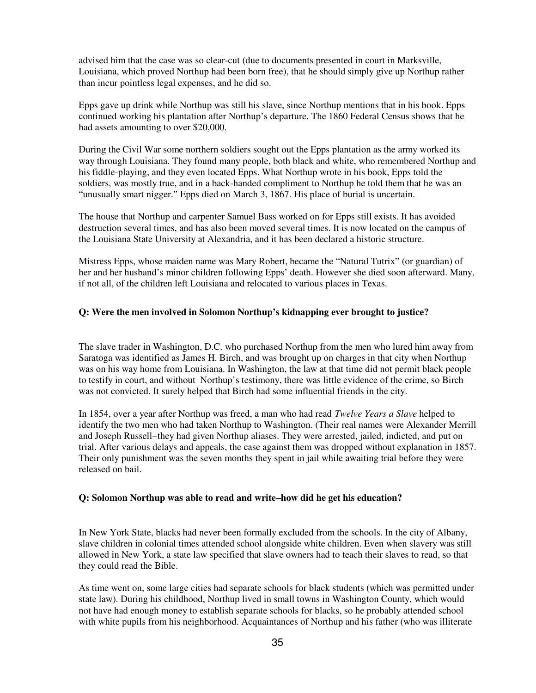advised him that the case was so clear-cut (due to documents presented in court in Marksville, Louisiana, which proved Northup had been born free), that he should simply give up Northup rather than incur pointless legal expenses, and he did so.

Epps gave up drink while Northup was still his slave, since Northup mentions that in his book. Epps continued working his plantation after Northup's departure. The 1860 Federal Census shows that he had assets amounting to over \$20,000.

During the Civil War some northern soldiers sought out the Epps plantation as the army worked its way through Louisiana. They found many people, both black and white, who remembered Northup and his fiddle-playing, and they even located Epps. What Northup wrote in his book, Epps told the soldiers, was mostly true, and in a back-handed compliment to Northup he told them that he was an "unusually smart nigger." Epps died on March 3, 1867. His place of burial is uncertain.

The house that Northup and carpenter Samuel Bass worked on for Epps still exists. It has avoided destruction several times, and has also been moved several times. It is now located on the campus of the Louisiana State University at Alexandria, and it has been declared a historic structure.

Mistress Epps, whose maiden name was Mary Robert, became the "Natural Tutrix" (or guardian) of her and her husband's minor children following Epps' death. However she died soon afterward. Many, if not all, of the children left Louisiana and relocated to various places in Texas.

# **Q: Were the men involved in Solomon Northup's kidnapping ever brought to justice?**

The slave trader in Washington, D.C. who purchased Northup from the men who lured him away from Saratoga was identified as James H. Birch, and was brought up on charges in that city when Northup was on his way home from Louisiana. In Washington, the law at that time did not permit black people to testify in court, and without Northup's testimony, there was little evidence of the crime, so Birch was not convicted. It surely helped that Birch had some influential friends in the city.

In 1854, over a year after Northup was freed, a man who had read *Twelve Years a Slave* helped to identify the two men who had taken Northup to Washington. (Their real names were Alexander Merrill and Joseph Russell–they had given Northup aliases. They were arrested, jailed, indicted, and put on trial. After various delays and appeals, the case against them was dropped without explanation in 1857. Their only punishment was the seven months they spent in jail while awaiting trial before they were released on bail.

# **Q: Solomon Northup was able to read and write–how did he get his education?**

In New York State, blacks had never been formally excluded from the schools. In the city of Albany, slave children in colonial times attended school alongside white children. Even when slavery was still allowed in New York, a state law specified that slave owners had to teach their slaves to read, so that they could read the Bible.

As time went on, some large cities had separate schools for black students (which was permitted under state law). During his childhood, Northup lived in small towns in Washington County, which would not have had enough money to establish separate schools for blacks, so he probably attended school with white pupils from his neighborhood. Acquaintances of Northup and his father (who was illiterate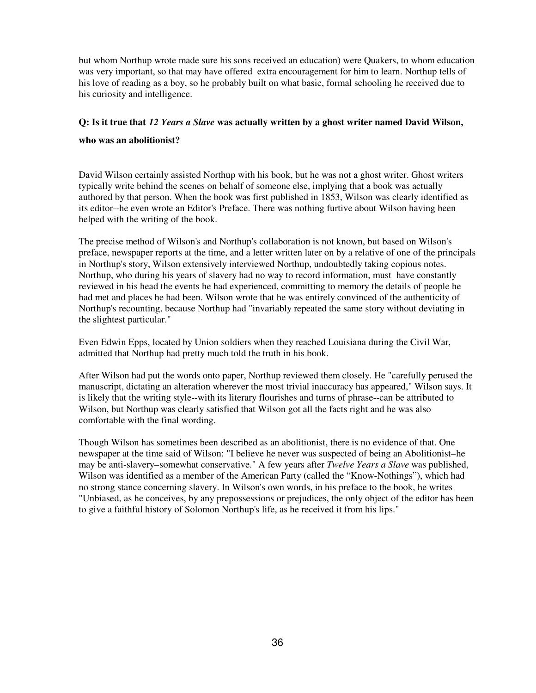but whom Northup wrote made sure his sons received an education) were Quakers, to whom education was very important, so that may have offered extra encouragement for him to learn. Northup tells of his love of reading as a boy, so he probably built on what basic, formal schooling he received due to his curiosity and intelligence.

# **Q: Is it true that** *12 Years a Slave* **was actually written by a ghost writer named David Wilson,**

#### **who was an abolitionist?**

David Wilson certainly assisted Northup with his book, but he was not a ghost writer. Ghost writers typically write behind the scenes on behalf of someone else, implying that a book was actually authored by that person. When the book was first published in 1853, Wilson was clearly identified as its editor--he even wrote an Editor's Preface. There was nothing furtive about Wilson having been helped with the writing of the book.

The precise method of Wilson's and Northup's collaboration is not known, but based on Wilson's preface, newspaper reports at the time, and a letter written later on by a relative of one of the principals in Northup's story, Wilson extensively interviewed Northup, undoubtedly taking copious notes. Northup, who during his years of slavery had no way to record information, must have constantly reviewed in his head the events he had experienced, committing to memory the details of people he had met and places he had been. Wilson wrote that he was entirely convinced of the authenticity of Northup's recounting, because Northup had "invariably repeated the same story without deviating in the slightest particular."

Even Edwin Epps, located by Union soldiers when they reached Louisiana during the Civil War, admitted that Northup had pretty much told the truth in his book.

After Wilson had put the words onto paper, Northup reviewed them closely. He "carefully perused the manuscript, dictating an alteration wherever the most trivial inaccuracy has appeared," Wilson says. It is likely that the writing style--with its literary flourishes and turns of phrase--can be attributed to Wilson, but Northup was clearly satisfied that Wilson got all the facts right and he was also comfortable with the final wording.

Though Wilson has sometimes been described as an abolitionist, there is no evidence of that. One newspaper at the time said of Wilson: "I believe he never was suspected of being an Abolitionist–he may be anti-slavery–somewhat conservative." A few years after *Twelve Years a Slave* was published, Wilson was identified as a member of the American Party (called the "Know-Nothings"), which had no strong stance concerning slavery. In Wilson's own words, in his preface to the book, he writes "Unbiased, as he conceives, by any prepossessions or prejudices, the only object of the editor has been to give a faithful history of Solomon Northup's life, as he received it from his lips."